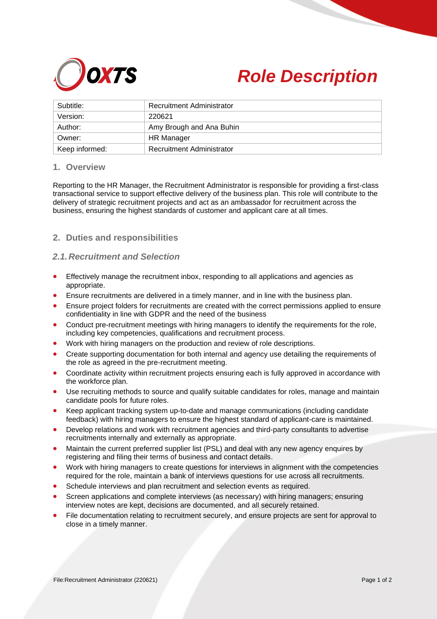



| Subtitle:      | <b>Recruitment Administrator</b> |
|----------------|----------------------------------|
| Version:       | 220621                           |
| Author:        | Amy Brough and Ana Buhin         |
| Owner:         | <b>HR Manager</b>                |
| Keep informed: | <b>Recruitment Administrator</b> |

#### **1. Overview**

Reporting to the HR Manager, the Recruitment Administrator is responsible for providing a first-class transactional service to support effective delivery of the business plan. This role will contribute to the delivery of strategic recruitment projects and act as an ambassador for recruitment across the business, ensuring the highest standards of customer and applicant care at all times.

# **2. Duties and responsibilities**

### *2.1.Recruitment and Selection*

- Effectively manage the recruitment inbox, responding to all applications and agencies as appropriate.
- Ensure recruitments are delivered in a timely manner, and in line with the business plan.
- Ensure project folders for recruitments are created with the correct permissions applied to ensure confidentiality in line with GDPR and the need of the business
- Conduct pre-recruitment meetings with hiring managers to identify the requirements for the role, including key competencies, qualifications and recruitment process.
- Work with hiring managers on the production and review of role descriptions.
- Create supporting documentation for both internal and agency use detailing the requirements of the role as agreed in the pre-recruitment meeting.
- Coordinate activity within recruitment projects ensuring each is fully approved in accordance with the workforce plan.
- Use recruiting methods to source and qualify suitable candidates for roles, manage and maintain candidate pools for future roles.
- Keep applicant tracking system up-to-date and manage communications (including candidate feedback) with hiring managers to ensure the highest standard of applicant-care is maintained.
- Develop relations and work with recruitment agencies and third-party consultants to advertise recruitments internally and externally as appropriate.
- Maintain the current preferred supplier list (PSL) and deal with any new agency enquires by registering and filing their terms of business and contact details.
- Work with hiring managers to create questions for interviews in alignment with the competencies required for the role, maintain a bank of interviews questions for use across all recruitments.
- Schedule interviews and plan recruitment and selection events as required.
- Screen applications and complete interviews (as necessary) with hiring managers; ensuring interview notes are kept, decisions are documented, and all securely retained.
- File documentation relating to recruitment securely, and ensure projects are sent for approval to close in a timely manner.